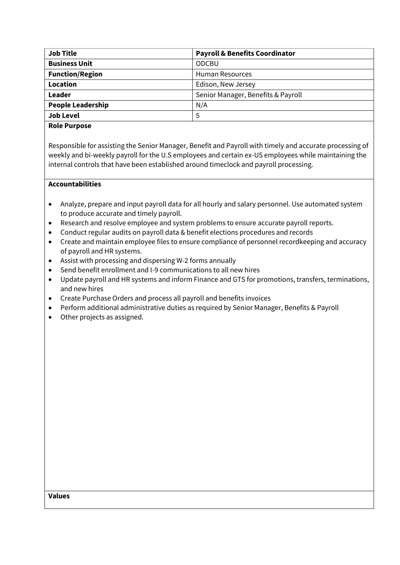| <b>Job Title</b>         | <b>Payroll &amp; Benefits Coordinator</b> |
|--------------------------|-------------------------------------------|
| <b>Business Unit</b>     | <b>ODCBU</b>                              |
| <b>Function/Region</b>   | <b>Human Resources</b>                    |
| Location                 | Edison, New Jersey                        |
| Leader                   | Senior Manager, Benefits & Payroll        |
| <b>People Leadership</b> | N/A                                       |
| <b>Job Level</b>         | 5                                         |
|                          |                                           |

### **Role Purpose**

Responsible for assisting the Senior Manager, Benefit and Payroll with timely and accurate processing of weekly and bi-weekly payroll for the U.S employees and certain ex-US employees while maintaining the internal controls that have been established around timeclock and payroll processing.

# **Accountabilities**

- Analyze, prepare and input payroll data for all hourly and salary personnel. Use automated system to produce accurate and timely payroll.
- Research and resolve employee and system problems to ensure accurate payroll reports.
- Conduct regular audits on payroll data & benefit elections procedures and records
- Create and maintain employee files to ensure compliance of personnel recordkeeping and accuracy of payroll and HR systems.
- Assist with processing and dispersing W-2 forms annually
- Send benefit enrollment and I-9 communications to all new hires
- Update payroll and HR systems and inform Finance and GTS for promotions, transfers, terminations, and new hires
- Create Purchase Orders and process all payroll and benefits invoices
- Perform additional administrative duties as required by Senior Manager, Benefits & Payroll
- Other projects as assigned.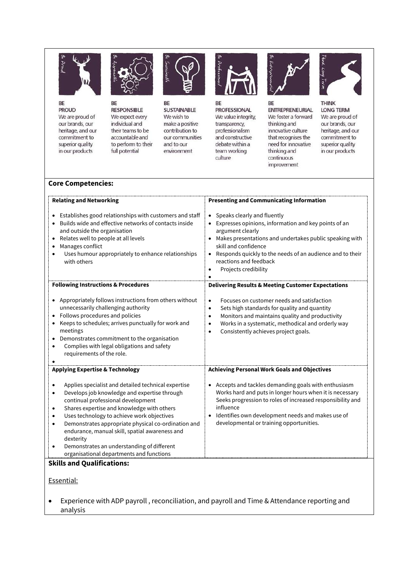

BE **PROUD** We are proud of our brands, our heritage, and our commitment to superior quality in our products



BE **RESPONSIBLE** We expect every individual and their teams to be accountable and to perform to their full potential



BE **SUSTAINABLE** We wish to make a positive contribution to our communities and to our environment



BE **PROFESSIONAL** We value integrity, transparency, professionalism and constructive debate within a team working culture



BE **ENTREPRENEURIAL** We foster a forward thinking and innovative culture that recognises the need for innovative thinking and continuous improvement



**THINK LONG TERM** We are proud of our brands, our heritage, and our commitment to superior quality in our products

## **Core Competencies:**

| <b>Relating and Networking</b>                                                                                                                                                                                                                                                                                                                                                                                                                                                                                                                       | <b>Presenting and Communicating Information</b>                                                                                                                                                                                                                                                             |
|------------------------------------------------------------------------------------------------------------------------------------------------------------------------------------------------------------------------------------------------------------------------------------------------------------------------------------------------------------------------------------------------------------------------------------------------------------------------------------------------------------------------------------------------------|-------------------------------------------------------------------------------------------------------------------------------------------------------------------------------------------------------------------------------------------------------------------------------------------------------------|
| Establishes good relationships with customers and staff<br>Builds wide and effective networks of contacts inside<br>and outside the organisation<br>Relates well to people at all levels<br>Manages conflict<br>Uses humour appropriately to enhance relationships<br>with others                                                                                                                                                                                                                                                                    | • Speaks clearly and fluently<br>Expresses opinions, information and key points of an<br>argument clearly<br>Makes presentations and undertakes public speaking with<br>skill and confidence<br>Responds quickly to the needs of an audience and to their<br>reactions and feedback<br>Projects credibility |
| <b>Following Instructions &amp; Procedures</b>                                                                                                                                                                                                                                                                                                                                                                                                                                                                                                       | <b>Delivering Results &amp; Meeting Customer Expectations</b>                                                                                                                                                                                                                                               |
| Appropriately follows instructions from others without<br>unnecessarily challenging authority<br>Follows procedures and policies<br>Keeps to schedules; arrives punctually for work and<br>meetings<br>Demonstrates commitment to the organisation<br>$\bullet$<br>Complies with legal obligations and safety<br>$\bullet$<br>requirements of the role.                                                                                                                                                                                              | Focuses on customer needs and satisfaction<br>$\bullet$<br>Sets high standards for quality and quantity<br>$\bullet$<br>Monitors and maintains quality and productivity<br>$\bullet$<br>Works in a systematic, methodical and orderly way<br>$\bullet$<br>Consistently achieves project goals.<br>$\bullet$ |
| <b>Applying Expertise &amp; Technology</b>                                                                                                                                                                                                                                                                                                                                                                                                                                                                                                           | <b>Achieving Personal Work Goals and Objectives</b>                                                                                                                                                                                                                                                         |
| Applies specialist and detailed technical expertise<br>$\bullet$<br>Develops job knowledge and expertise through<br>$\bullet$<br>continual professional development<br>Shares expertise and knowledge with others<br>$\bullet$<br>Uses technology to achieve work objectives<br>Demonstrates appropriate physical co-ordination and<br>$\bullet$<br>endurance, manual skill, spatial awareness and<br>dexterity<br>Demonstrates an understanding of different<br>$\bullet$<br>organisational departments and functions<br>بالمحاكلات والمسحولا الزام | • Accepts and tackles demanding goals with enthusiasm<br>Works hard and puts in longer hours when it is necessary<br>Seeks progression to roles of increased responsibility and<br>influence<br>Identifies own development needs and makes use of<br>developmental or training opportunities.               |

### **Skills and Qualifications:**

### Essential:

 Experience with ADP payroll , reconciliation, and payroll and Time & Attendance reporting and analysis